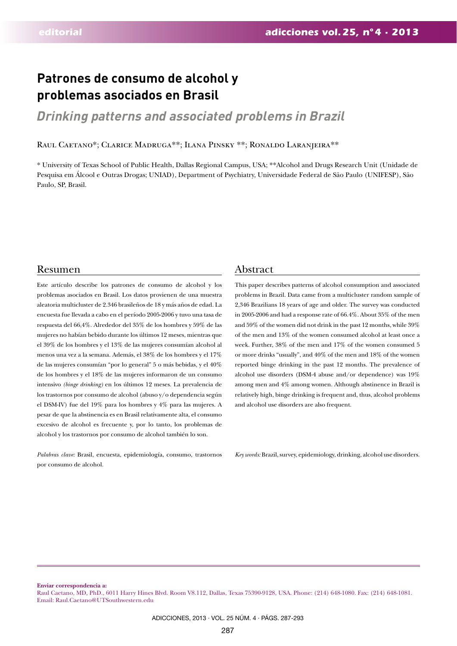# **Patrones de consumo de alcohol y problemas asociados en Brasil**

# *Drinking patterns and associated problems in Brazil*

Raul Caetano\*; Clarice Madruga\*\*; Ilana Pinsky \*\*; Ronaldo Laranjeira\*\*

\* University of Texas School of Public Health, Dallas Regional Campus, USA; \*\*Alcohol and Drugs Research Unit (Unidade de Pesquisa em Álcool e Outras Drogas; UNIAD), Department of Psychiatry, Universidade Federal de São Paulo (UNIFESP), São Paulo, SP, Brasil.

# Resumen Abstract

Este artículo describe los patrones de consumo de alcohol y los problemas asociados en Brasil. Los datos provienen de una muestra aleatoria multicluster de 2.346 brasileños de 18 y más años de edad. La encuesta fue llevada a cabo en el período 2005-2006 y tuvo una tasa de respuesta del 66,4%. Alrededor del 35% de los hombres y 59% de las mujeres no habían bebido durante los últimos 12 meses, mientras que el 39% de los hombres y el 13% de las mujeres consumían alcohol al menos una vez a la semana. Además, el 38% de los hombres y el 17% de las mujeres consumían "por lo general" 5 o más bebidas, y el 40% de los hombres y el 18% de las mujeres informaron de un consumo intensivo *(binge drinking)* en los últimos 12 meses. La prevalencia de los trastornos por consumo de alcohol (abuso y/o dependencia según el DSM-IV) fue del 19% para los hombres y 4% para las mujeres. A pesar de que la abstinencia es en Brasil relativamente alta, el consumo excesivo de alcohol es frecuente y, por lo tanto, los problemas de alcohol y los trastornos por consumo de alcohol también lo son.

*Palabras clave:* Brasil, encuesta, epidemiología, consumo, trastornos por consumo de alcohol.

This paper describes patterns of alcohol consumption and associated problems in Brazil. Data came from a multicluster random sample of 2,346 Brazilians 18 years of age and older. The survey was conducted in 2005-2006 and had a response rate of 66.4%. About 35% of the men and 59% of the women did not drink in the past 12 months, while 39% of the men and 13% of the women consumed alcohol at least once a week. Further, 38% of the men and 17% of the women consumed 5 or more drinks "usually", and 40% of the men and 18% of the women reported binge drinking in the past 12 months. The prevalence of alcohol use disorders (DSM-4 abuse and/or dependence) was 19% among men and 4% among women. Although abstinence in Brazil is relatively high, binge drinking is frequent and, thus, alcohol problems and alcohol use disorders are also frequent.

*Key words:* Brazil, survey, epidemiology, drinking, alcohol use disorders.

**Enviar correspondencia a:**

Raul Caetano, MD, PhD., 6011 Harry Hines Blvd. Room V8.112, Dallas, Texas 75390-9128, USA. Phone: (214) 648-1080. Fax: (214) 648-1081. Email: Raul.Caetano@UTSouthwestern.edu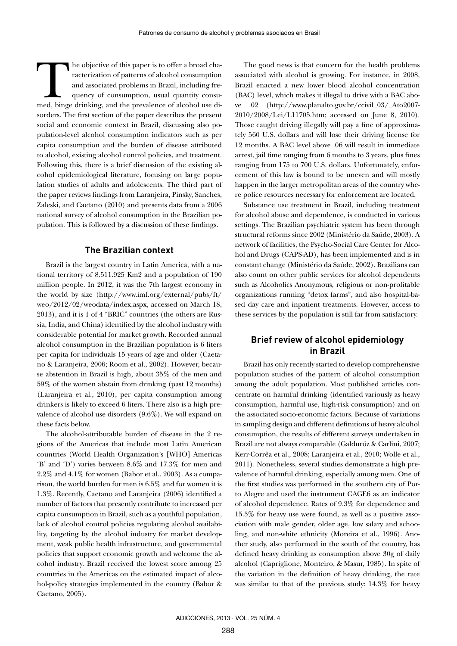The objective of this paper is to offer a broad characterization of patterns of alcohol consumption and associated problems in Brazil, including frequency of consumption, usual quantity consumed, binge drinking, and the pr racterization of patterns of alcohol consumption and associated problems in Brazil, including frequency of consumption, usual quantity consusorders. The first section of the paper describes the present social and economic context in Brazil, discussing also population-level alcohol consumption indicators such as per capita consumption and the burden of disease attributed to alcohol, existing alcohol control policies, and treatment. Following this, there is a brief discussion of the existing alcohol epidemiological literature, focusing on large population studies of adults and adolescents. The third part of the paper reviews findings from Laranjeira, Pinsky, Sanches, Zaleski, and Caetano (2010) and presents data from a 2006 national survey of alcohol consumption in the Brazilian population. This is followed by a discussion of these findings.

### **The Brazilian context**

Brazil is the largest country in Latin America, with a national territory of 8.511.925 Km2 and a population of 190 million people. In 2012, it was the 7th largest economy in the world by size (http://www.imf.org/external/pubs/ft/ weo/2012/02/weodata/index.aspx, accessed on March 18, 2013), and it is 1 of 4 "BRIC" countries (the others are Russia, India, and China) identified by the alcohol industry with considerable potential for market growth. Recorded annual alcohol consumption in the Brazilian population is 6 liters per capita for individuals 15 years of age and older (Caetano & Laranjeira, 2006; Room et al., 2002). However, because abstention in Brazil is high, about 35% of the men and 59% of the women abstain from drinking (past 12 months) (Laranjeira et al., 2010), per capita consumption among drinkers is likely to exceed 6 liters. There also is a high prevalence of alcohol use disorders (9.6%). We will expand on these facts below.

The alcohol-attributable burden of disease in the 2 regions of the Americas that include most Latin American countries (World Health Organization's [WHO] Americas 'B' and 'D') varies between 8.6% and 17.3% for men and 2.2% and 4.1% for women (Babor et al., 2003). As a comparison, the world burden for men is 6.5% and for women it is 1.3%. Recently, Caetano and Laranjeira (2006) identified a number of factors that presently contribute to increased per capita consumption in Brazil, such as a youthful population, lack of alcohol control policies regulating alcohol availability, targeting by the alcohol industry for market development, weak public health infrastructure, and governmental policies that support economic growth and welcome the alcohol industry. Brazil received the lowest score among 25 countries in the Americas on the estimated impact of alcohol-policy strategies implemented in the country (Babor & Caetano, 2005).

The good news is that concern for the health problems associated with alcohol is growing. For instance, in 2008, Brazil enacted a new lower blood alcohol concentration (BAC) level, which makes it illegal to drive with a BAC above .02 (http://www.planalto.gov.br/ccivil\_03/\_Ato2007- 2010/2008/Lei/L11705.htm; accessed on June 8, 2010). Those caught driving illegally will pay a fine of approximately 560 U.S. dollars and will lose their driving license for 12 months. A BAC level above .06 will result in immediate arrest, jail time ranging from 6 months to 3 years, plus fines ranging from 175 to 700 U.S. dollars. Unfortunately, enforcement of this law is bound to be uneven and will mostly happen in the larger metropolitan areas of the country where police resources necessary for enforcement are located.

Substance use treatment in Brazil, including treatment for alcohol abuse and dependence, is conducted in various settings. The Brazilian psychiatric system has been through structural reforms since 2002 (Ministério da Saúde, 2003). A network of facilities, the Psycho-Social Care Center for Alcohol and Drugs (CAPS-AD), has been implemented and is in constant change (Ministério da Saúde, 2002). Brazilians can also count on other public services for alcohol dependents such as Alcoholics Anonymous, religious or non-profitable organizations running "detox farms", and also hospital-based day care and inpatient treatments. However, access to these services by the population is still far from satisfactory.

# **Brief review of alcohol epidemiology in Brazil**

Brazil has only recently started to develop comprehensive population studies of the pattern of alcohol consumption among the adult population. Most published articles concentrate on harmful drinking (identified variously as heavy consumption, harmful use, high-risk consumption) and on the associated socio-economic factors. Because of variations in sampling design and different definitions of heavy alcohol consumption, the results of different surveys undertaken in Brazil are not always comparable (Galduróz & Carlini, 2007; Kerr-Corrêa et al., 2008; Laranjeira et al., 2010; Wolle et al., 2011). Nonetheless, several studies demonstrate a high prevalence of harmful drinking, especially among men. One of the first studies was performed in the southern city of Porto Alegre and used the instrument CAGE6 as an indicator of alcohol dependence. Rates of 9.3% for dependence and 15.5% for heavy use were found, as well as a positive association with male gender, older age, low salary and schooling, and non-white ethnicity (Moreira et al., 1996). Another study, also performed in the south of the country, has defined heavy drinking as consumption above 30g of daily alcohol (Capriglione, Monteiro, & Masur, 1985). In spite of the variation in the definition of heavy drinking, the rate was similar to that of the previous study: 14.3% for heavy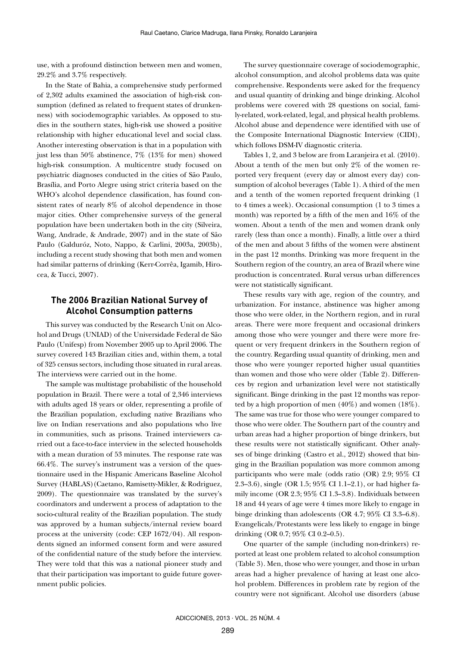use, with a profound distinction between men and women, 29.2% and 3.7% respectively.

In the State of Bahia, a comprehensive study performed of 2,302 adults examined the association of high-risk consumption (defined as related to frequent states of drunkenness) with sociodemographic variables. As opposed to studies in the southern states, high-risk use showed a positive relationship with higher educational level and social class. Another interesting observation is that in a population with just less than 50% abstinence, 7% (13% for men) showed high-risk consumption. A multicentre study focused on psychiatric diagnoses conducted in the cities of São Paulo, Brasília, and Porto Alegre using strict criteria based on the WHO's alcohol dependence classification, has found consistent rates of nearly 8% of alcohol dependence in those major cities. Other comprehensive surveys of the general population have been undertaken both in the city (Silveira, Wang, Andrade, & Andrade, 2007) and in the state of São Paulo (Galduróz, Noto, Nappo, & Carlini, 2003a, 2003b), including a recent study showing that both men and women had similar patterns of drinking (Kerr-Corrêa, Igamib, Hirocea, & Tucci, 2007).

# **The 2006 Brazilian National Survey of Alcohol Consumption patterns**

This survey was conducted by the Research Unit on Alcohol and Drugs (UNIAD) of the Universidade Federal de São Paulo (Unifesp) from November 2005 up to April 2006. The survey covered 143 Brazilian cities and, within them, a total of 325 census sectors, including those situated in rural areas. The interviews were carried out in the home.

The sample was multistage probabilistic of the household population in Brazil. There were a total of 2,346 interviews with adults aged 18 years or older, representing a profile of the Brazilian population, excluding native Brazilians who live on Indian reservations and also populations who live in communities, such as prisons. Trained interviewers carried out a face-to-face interview in the selected households with a mean duration of 53 minutes. The response rate was 66.4%. The survey's instrument was a version of the questionnaire used in the Hispanic Americans Baseline Alcohol Survey (HABLAS)(Caetano, Ramisetty-Mikler, & Rodriguez, 2009). The questionnaire was translated by the survey's coordinators and underwent a process of adaptation to the socio-cultural reality of the Brazilian population. The study was approved by a human subjects/internal review board process at the university (code: CEP 1672/04). All respondents signed an informed consent form and were assured of the confidential nature of the study before the interview. They were told that this was a national pioneer study and that their participation was important to guide future government public policies.

The survey questionnaire coverage of sociodemographic, alcohol consumption, and alcohol problems data was quite comprehensive. Respondents were asked for the frequency and usual quantity of drinking and binge drinking. Alcohol problems were covered with 28 questions on social, family-related, work-related, legal, and physical health problems. Alcohol abuse and dependence were identified with use of the Composite International Diagnostic Interview (CIDI), which follows DSM-IV diagnostic criteria.

Tables 1, 2, and 3 below are from Laranjeira et al. (2010). About a tenth of the men but only 2% of the women reported very frequent (every day or almost every day) consumption of alcohol beverages (Table 1). A third of the men and a tenth of the women reported frequent drinking (1 to 4 times a week). Occasional consumption (1 to 3 times a month) was reported by a fifth of the men and  $16\%$  of the women. About a tenth of the men and women drank only rarely (less than once a month). Finally, a little over a third of the men and about 3 fifths of the women were abstinent in the past 12 months. Drinking was more frequent in the Southern region of the country, an area of Brazil where wine production is concentrated. Rural versus urban differences were not statistically significant.

These results vary with age, region of the country, and urbanization. For instance, abstinence was higher among those who were older, in the Northern region, and in rural areas. There were more frequent and occasional drinkers among those who were younger and there were more frequent or very frequent drinkers in the Southern region of the country. Regarding usual quantity of drinking, men and those who were younger reported higher usual quantities than women and those who were older (Table 2). Differences by region and urbanization level were not statistically significant. Binge drinking in the past 12 months was reported by a high proportion of men (40%) and women (18%). The same was true for those who were younger compared to those who were older. The Southern part of the country and urban areas had a higher proportion of binge drinkers, but these results were not statistically significant. Other analyses of binge drinking (Castro et al., 2012) showed that binging in the Brazilian population was more common among participants who were male (odds ratio (OR) 2.9; 95% CI 2.3–3.6), single (OR 1.5; 95% CI 1.1–2.1), or had higher family income (OR 2.3; 95% CI 1.3–3.8). Individuals between 18 and 44 years of age were 4 times more likely to engage in binge drinking than adolescents (OR 4.7; 95% CI 3.3–6.8). Evangelicals/Protestants were less likely to engage in binge drinking (OR 0.7; 95% CI 0.2–0.5).

One quarter of the sample (including non-drinkers) reported at least one problem related to alcohol consumption (Table 3). Men, those who were younger, and those in urban areas had a higher prevalence of having at least one alcohol problem. Differences in problem rate by region of the country were not significant. Alcohol use disorders (abuse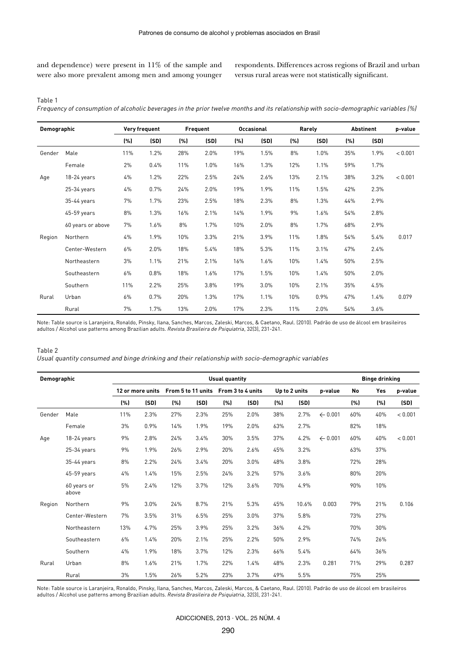and dependence) were present in 11% of the sample and were also more prevalent among men and among younger respondents. Differences across regions of Brazil and urban versus rural areas were not statistically significant.

Table 1

*Frequency of consumption of alcoholic beverages in the prior twelve months and its relationship with socio-demographic variables (%)*

| Demographic |                   | Very frequent |      | Frequent |      | <b>Occasional</b> |      | Rarely |      | <b>Abstinent</b> |      | p-value |
|-------------|-------------------|---------------|------|----------|------|-------------------|------|--------|------|------------------|------|---------|
|             |                   | (%)           | (SD) | (% )     | (SD) | (%)               | (SD) | (% )   | (SD) | (%)              | (SD) |         |
| Gender      | Male              | 11%           | 1.2% | 28%      | 2.0% | 19%               | 1.5% | 8%     | 1.0% | 35%              | 1.9% | < 0.001 |
|             | Female            | 2%            | 0.4% | 11%      | 1.0% | 16%               | 1.3% | 12%    | 1.1% | 59%              | 1.7% |         |
| Age         | 18-24 years       | 4%            | 1.2% | 22%      | 2.5% | 24%               | 2.6% | 13%    | 2.1% | 38%              | 3.2% | < 0.001 |
|             | $25-34$ years     | 4%            | 0.7% | 24%      | 2.0% | 19%               | 1.9% | 11%    | 1.5% | 42%              | 2.3% |         |
|             | 35-44 years       | 7%            | 1.7% | 23%      | 2.5% | 18%               | 2.3% | 8%     | 1.3% | 44%              | 2.9% |         |
|             | 45-59 years       | 8%            | 1.3% | 16%      | 2.1% | 14%               | 1.9% | 9%     | 1.6% | 54%              | 2.8% |         |
|             | 60 years or above | 7%            | 1.6% | 8%       | 1.7% | 10%               | 2.0% | 8%     | 1.7% | 68%              | 2.9% |         |
| Region      | Northern          | 4%            | 1.9% | 10%      | 3.3% | 21%               | 3.9% | 11%    | 1.8% | 54%              | 5.4% | 0.017   |
|             | Center-Western    | 6%            | 2.0% | 18%      | 5.4% | 18%               | 5.3% | 11%    | 3.1% | 47%              | 2.4% |         |
|             | Northeastern      | 3%            | 1.1% | 21%      | 2.1% | 16%               | 1.6% | 10%    | 1.4% | 50%              | 2.5% |         |
|             | Southeastern      | 6%            | 0.8% | 18%      | 1.6% | 17%               | 1.5% | 10%    | 1.4% | 50%              | 2.0% |         |
|             | Southern          | 11%           | 2.2% | 25%      | 3.8% | 19%               | 3.0% | 10%    | 2.1% | 35%              | 4.5% |         |
| Rural       | Urban             | $6\%$         | 0.7% | 20%      | 1.3% | 17%               | 1.1% | 10%    | 0.9% | 47%              | 1.4% | 0.079   |
|             | Rural             | 7%            | 1.7% | 13%      | 2.0% | 17%               | 2.3% | 11%    | 2.0% | 54%              | 3.6% |         |

Note: Table source is Laranjeira, Ronaldo, Pinsky, Ilana, Sanches, Marcos, Zaleski, Marcos, & Caetano, Raul. (2010). Padrão de uso de álcool em brasileiros adultos / Alcohol use patterns among Brazilian adults. *Revista Brasileira de Psiquiatria*, 32(3), 231-241.

#### Table 2

*Usual quantity consumed and binge drinking and their relationship with socio-demographic variables*

| <b>Demographic</b> |                      | <b>Usual quantity</b> |      |                    |      |                   |      |               |       | <b>Binge drinking</b> |     |     |         |
|--------------------|----------------------|-----------------------|------|--------------------|------|-------------------|------|---------------|-------|-----------------------|-----|-----|---------|
|                    |                      | 12 or more units      |      | From 5 to 11 units |      | From 3 to 4 units |      | Up to 2 units |       | p-value               | No  | Yes | p-value |
|                    |                      | (% )                  | (SD) | (%)                | (SD) | (% )              | (SD) | (% )          | (SD)  |                       | (%) | (%) | (SD)    |
| Gender             | Male                 | 11%                   | 2.3% | 27%                | 2.3% | 25%               | 2.0% | 38%           | 2.7%  | ← $0.001$             | 60% | 40% | < 0.001 |
|                    | Female               | 3%                    | 0.9% | 14%                | 1.9% | 19%               | 2.0% | 63%           | 2.7%  |                       | 82% | 18% |         |
| Age                | $18-24$ years        | 9%                    | 2.8% | 24%                | 3.4% | 30%               | 3.5% | 37%           | 4.2%  | ← $0.001$             | 60% | 40% | < 0.001 |
|                    | $25-34$ years        | 9%                    | 1.9% | 26%                | 2.9% | 20%               | 2.6% | 45%           | 3.2%  |                       | 63% | 37% |         |
|                    | 35-44 years          | 8%                    | 2.2% | 24%                | 3.4% | 20%               | 3.0% | 48%           | 3.8%  |                       | 72% | 28% |         |
|                    | 45-59 years          | 4%                    | 1.4% | 15%                | 2.5% | 24%               | 3.2% | 57%           | 3.6%  |                       | 80% | 20% |         |
|                    | 60 years or<br>above | 5%                    | 2.4% | 12%                | 3.7% | 12%               | 3.6% | 70%           | 4.9%  |                       | 90% | 10% |         |
| Region             | Northern             | 9%                    | 3.0% | 24%                | 8.7% | 21%               | 5.3% | 45%           | 10.6% | 0.003                 | 79% | 21% | 0.106   |
|                    | Center-Western       | 7%                    | 3.5% | 31%                | 6.5% | 25%               | 3.0% | 37%           | 5.8%  |                       | 73% | 27% |         |
|                    | Northeastern         | 13%                   | 4.7% | 25%                | 3.9% | 25%               | 3.2% | 36%           | 4.2%  |                       | 70% | 30% |         |
|                    | Southeastern         | 6%                    | 1.4% | 20%                | 2.1% | 25%               | 2.2% | 50%           | 2.9%  |                       | 74% | 26% |         |
|                    | Southern             | 4%                    | 1.9% | 18%                | 3.7% | 12%               | 2.3% | 66%           | 5.4%  |                       | 64% | 36% |         |
| Rural              | Urban                | 8%                    | 1.6% | 21%                | 1.7% | 22%               | 1.4% | 48%           | 2.3%  | 0.281                 | 71% | 29% | 0.287   |
|                    | Rural                | 3%                    | 1.5% | 26%                | 5.2% | 23%               | 3.7% | 49%           | 5.5%  |                       | 75% | 25% |         |

Note: Table source is Laranjeira, Ronaldo, Pinsky, Ilana, Sanches, Marcos, Zaleski, Marcos, & Caetano, Raul. (2010). Padrão de uso de álcool em brasileiros adultos / Alcohol use patterns among Brazilian adults. *Revista Brasileira de Psiquiatria*, 32(3), 231-241.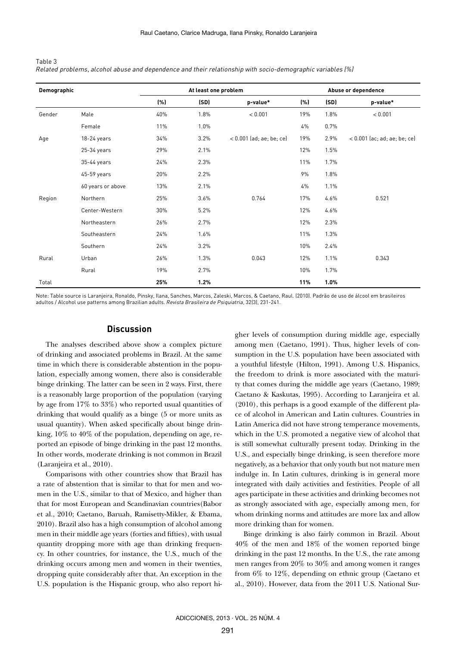| Table 3                                                                                                    |  |
|------------------------------------------------------------------------------------------------------------|--|
| Related problems, alcohol abuse and dependence and their relationship with socio-demographic variables (%) |  |

| Demographic |                   |      | At least one problem |                            | Abuse or dependence |      |                                |  |
|-------------|-------------------|------|----------------------|----------------------------|---------------------|------|--------------------------------|--|
|             |                   | (% ) | (SD)                 | p-value*                   | (% )                | (SD) | p-value*                       |  |
| Gender      | Male              | 40%  | 1.8%                 | < 0.001                    | 19%                 | 1.8% | < 0.001                        |  |
|             | Female            | 11%  | 1.0%                 |                            | 4%                  | 0.7% |                                |  |
| Age         | 18-24 years       | 34%  | 3.2%                 | $< 0.001$ (ad; ae; be; ce) | 19%                 | 2.9% | $< 0.001$ (ac; ad; ae; be; ce) |  |
|             | $25-34$ years     | 29%  | 2.1%                 |                            | 12%                 | 1.5% |                                |  |
|             | 35-44 years       | 24%  | 2.3%                 |                            | 11%                 | 1.7% |                                |  |
|             | 45-59 years       | 20%  | 2.2%                 |                            | 9%                  | 1.8% |                                |  |
|             | 60 years or above | 13%  | 2.1%                 |                            | 4%                  | 1.1% |                                |  |
| Region      | Northern          | 25%  | 3.6%                 | 0.764                      | 17%                 | 4.6% | 0.521                          |  |
|             | Center-Western    | 30%  | 5.2%                 |                            | 12%                 | 4.6% |                                |  |
|             | Northeastern      | 26%  | 2.7%                 |                            | 12%                 | 2.3% |                                |  |
|             | Southeastern      | 24%  | 1.6%                 |                            | 11%                 | 1.3% |                                |  |
|             | Southern          | 24%  | 3.2%                 |                            | 10%                 | 2.4% |                                |  |
| Rural       | Urban             | 26%  | 1.3%                 | 0.043                      | 12%                 | 1.1% | 0.343                          |  |
|             | Rural             | 19%  | 2.7%                 |                            | 10%                 | 1.7% |                                |  |
| Total       |                   | 25%  | 1.2%                 |                            | 11%                 | 1.0% |                                |  |

Note: Table source is Laranjeira, Ronaldo, Pinsky, Ilana, Sanches, Marcos, Zaleski, Marcos, & Caetano, Raul. (2010). Padrão de uso de álcool em brasileiros adultos / Alcohol use patterns among Brazilian adults. *Revista Brasileira de Psiquiatria*, 32(3), 231-241.

#### **Discussion**

The analyses described above show a complex picture of drinking and associated problems in Brazil. At the same time in which there is considerable abstention in the population, especially among women, there also is considerable binge drinking. The latter can be seen in 2 ways. First, there is a reasonably large proportion of the population (varying by age from 17% to 33%) who reported usual quantities of drinking that would qualify as a binge (5 or more units as usual quantity). When asked specifically about binge drinking, 10% to 40% of the population, depending on age, reported an episode of binge drinking in the past 12 months. In other words, moderate drinking is not common in Brazil (Laranjeira et al., 2010).

Comparisons with other countries show that Brazil has a rate of abstention that is similar to that for men and women in the U.S., similar to that of Mexico, and higher than that for most European and Scandinavian countries(Babor et al., 2010; Caetano, Baruah, Ramisetty-Mikler, & Ebama, 2010). Brazil also has a high consumption of alcohol among men in their middle age years (forties and fifties), with usual quantity dropping more with age than drinking frequency. In other countries, for instance, the U.S., much of the drinking occurs among men and women in their twenties, dropping quite considerably after that. An exception in the U.S. population is the Hispanic group, who also report higher levels of consumption during middle age, especially among men (Caetano, 1991). Thus, higher levels of consumption in the U.S. population have been associated with a youthful lifestyle (Hilton, 1991). Among U.S. Hispanics, the freedom to drink is more associated with the maturity that comes during the middle age years (Caetano, 1989; Caetano & Kaskutas, 1995). According to Laranjeira et al. (2010), this perhaps is a good example of the different place of alcohol in American and Latin cultures. Countries in Latin America did not have strong temperance movements, which in the U.S. promoted a negative view of alcohol that is still somewhat culturally present today. Drinking in the U.S., and especially binge drinking, is seen therefore more negatively, as a behavior that only youth but not mature men indulge in. In Latin cultures, drinking is in general more integrated with daily activities and festivities. People of all ages participate in these activities and drinking becomes not as strongly associated with age, especially among men, for whom drinking norms and attitudes are more lax and allow more drinking than for women.

Binge drinking is also fairly common in Brazil. About 40% of the men and 18% of the women reported binge drinking in the past 12 months. In the U.S., the rate among men ranges from 20% to 30% and among women it ranges from 6% to 12%, depending on ethnic group (Caetano et al., 2010). However, data from the 2011 U.S. National Sur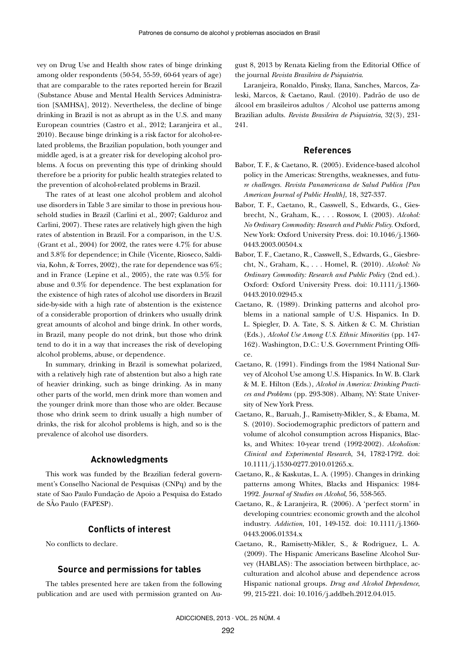vey on Drug Use and Health show rates of binge drinking among older respondents (50-54, 55-59, 60-64 years of age) that are comparable to the rates reported herein for Brazil (Substance Abuse and Mental Health Services Administration [SAMHSA], 2012). Nevertheless, the decline of binge drinking in Brazil is not as abrupt as in the U.S. and many European countries (Castro et al., 2012; Laranjeira et al., 2010). Because binge drinking is a risk factor for alcohol-related problems, the Brazilian population, both younger and middle aged, is at a greater risk for developing alcohol problems. A focus on preventing this type of drinking should therefore be a priority for public health strategies related to the prevention of alcohol-related problems in Brazil.

The rates of at least one alcohol problem and alcohol use disorders in Table 3 are similar to those in previous household studies in Brazil (Carlini et al., 2007; Galduroz and Carlini, 2007). These rates are relatively high given the high rates of abstention in Brazil. For a comparison, in the U.S. (Grant et al., 2004) for 2002, the rates were 4.7% for abuse and 3.8% for dependence; in Chile (Vicente, Rioseco, Saldivia, Kohn, & Torres, 2002), the rate for dependence was 6%; and in France (Lepine et al., 2005), the rate was 0.5% for abuse and 0.3% for dependence. The best explanation for the existence of high rates of alcohol use disorders in Brazil side-by-side with a high rate of abstention is the existence of a considerable proportion of drinkers who usually drink great amounts of alcohol and binge drink. In other words, in Brazil, many people do not drink, but those who drink tend to do it in a way that increases the risk of developing alcohol problems, abuse, or dependence.

In summary, drinking in Brazil is somewhat polarized, with a relatively high rate of abstention but also a high rate of heavier drinking, such as binge drinking. As in many other parts of the world, men drink more than women and the younger drink more than those who are older. Because those who drink seem to drink usually a high number of drinks, the risk for alcohol problems is high, and so is the prevalence of alcohol use disorders.

## **Acknowledgments**

This work was funded by the Brazilian federal government's Conselho Nacional de Pesquisas (CNPq) and by the state of Sao Paulo Fundação de Apoio a Pesquisa do Estado de SÃo Paulo (FAPESP).

#### **Conflicts of interest**

No conflicts to declare.

#### **Source and permissions for tables**

The tables presented here are taken from the following publication and are used with permission granted on August 8, 2013 by Renata Kieling from the Editorial Office of the journal *Revista Brasileira de Psiquiatria*.

Laranjeira, Ronaldo, Pinsky, Ilana, Sanches, Marcos, Zaleski, Marcos, & Caetano, Raul. (2010). Padrão de uso de álcool em brasileiros adultos / Alcohol use patterns among Brazilian adults. *Revista Brasileira de Psiquiatria*, 32(3), 231- 241.

#### **References**

- Babor, T. F., & Caetano, R. (2005). Evidence-based alcohol policy in the Americas: Strengths, weaknesses, and futu*re challenges. Revista Panamericana de Salud Publica [Pan American Journal of Public Health]*, 18, 327-337.
- Babor, T. F., Caetano, R., Casswell, S., Edwards, G., Giesbrecht, N., Graham, K., . . . Rossow, I. (2003). *Alcohol: No Ordinary Commodity: Research and Public Policy.* Oxford, New York: Oxford University Press. doi: 10.1046/j.1360- 0443.2003.00504.x
- Babor, T. F., Caetano, R., Casswell, S., Edwards, G., Giesbrecht, N., Graham, K., . . . Homel, R. (2010). *Alcohol: No Ordinary Commodity: Research and Public Policy* (2nd ed.). Oxford: Oxford University Press. doi: 10.1111/j.1360- 0443.2010.02945.x
- Caetano, R. (1989). Drinking patterns and alcohol problems in a national sample of U.S. Hispanics. In D. L. Spiegler, D. A. Tate, S. S. Aitken & C. M. Christian (Eds.), *Alcohol Use Among U.S. Ethnic Minorities* (pp. 147- 162). Washington, D.C.: U.S. Government Printing Office.
- Caetano, R. (1991). Findings from the 1984 National Survey of Alcohol Use among U.S. Hispanics. In W. B. Clark & M. E. Hilton (Eds.), *Alcohol in America: Drinking Practices and Problems* (pp. 293-308). Albany, NY: State University of New York Press.
- Caetano, R., Baruah, J., Ramisetty-Mikler, S., & Ebama, M. S. (2010). Sociodemographic predictors of pattern and volume of alcohol consumption across Hispanics, Blacks, and Whites: 10-year trend (1992-2002). *Alcoholism: Clinical and Experimental Research*, 34, 1782-1792. doi: 10.1111/j.1530-0277.2010.01265.x.
- Caetano, R., & Kaskutas, L. A. (1995). Changes in drinking patterns among Whites, Blacks and Hispanics: 1984- 1992. *Journal of Studies on Alcohol*, 56, 558-565.
- Caetano, R., & Laranjeira, R. (2006). A 'perfect storm' in developing countries: economic growth and the alcohol industry. *Addiction*, 101, 149-152. doi: 10.1111/j.1360- 0443.2006.01334.x
- Caetano, R., Ramisetty-Mikler, S., & Rodriguez, L. A. (2009). The Hispanic Americans Baseline Alcohol Survey (HABLAS): The association between birthplace, acculturation and alcohol abuse and dependence across Hispanic national groups. *Drug and Alcohol Dependence*, 99, 215-221. doi: 10.1016/j.addbeh.2012.04.015.